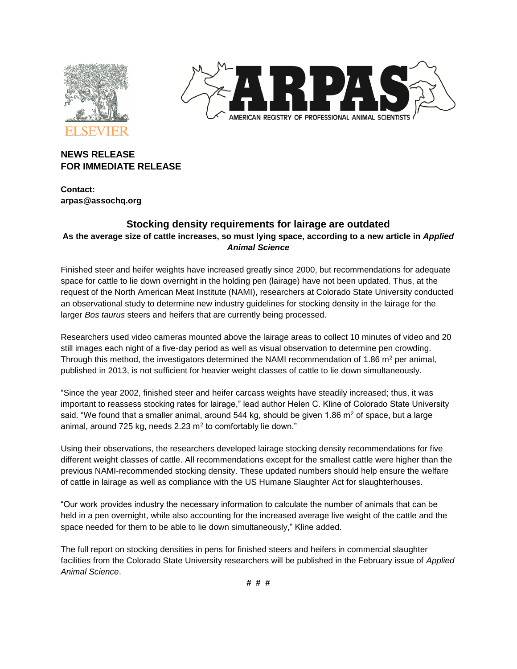



## **NEWS RELEASE FOR IMMEDIATE RELEASE**

**Contact: arpas@assochq.org**

# **Stocking density requirements for lairage are outdated As the average size of cattle increases, so must lying space, according to a new article in** *Applied Animal Science*

Finished steer and heifer weights have increased greatly since 2000, but recommendations for adequate space for cattle to lie down overnight in the holding pen (lairage) have not been updated. Thus, at the request of the North American Meat Institute (NAMI), researchers at Colorado State University conducted an observational study to determine new industry guidelines for stocking density in the lairage for the larger *Bos taurus* steers and heifers that are currently being processed.

Researchers used video cameras mounted above the lairage areas to collect 10 minutes of video and 20 still images each night of a five-day period as well as visual observation to determine pen crowding. Through this method, the investigators determined the NAMI recommendation of 1.86  $m<sup>2</sup>$  per animal, published in 2013, is not sufficient for heavier weight classes of cattle to lie down simultaneously.

"Since the year 2002, finished steer and heifer carcass weights have steadily increased; thus, it was important to reassess stocking rates for lairage," lead author Helen C. Kline of Colorado State University said. "We found that a smaller animal, around  $544$  kg, should be given 1.86 m<sup>2</sup> of space, but a large animal, around 725 kg, needs 2.23 m<sup>2</sup> to comfortably lie down."

Using their observations, the researchers developed lairage stocking density recommendations for five different weight classes of cattle. All recommendations except for the smallest cattle were higher than the previous NAMI-recommended stocking density. These updated numbers should help ensure the welfare of cattle in lairage as well as compliance with the US Humane Slaughter Act for slaughterhouses.

"Our work provides industry the necessary information to calculate the number of animals that can be held in a pen overnight, while also accounting for the increased average live weight of the cattle and the space needed for them to be able to lie down simultaneously," Kline added.

The full report on stocking densities in pens for finished steers and heifers in commercial slaughter facilities from the Colorado State University researchers will be published in the February issue of *Applied Animal Science*.

**# # #**